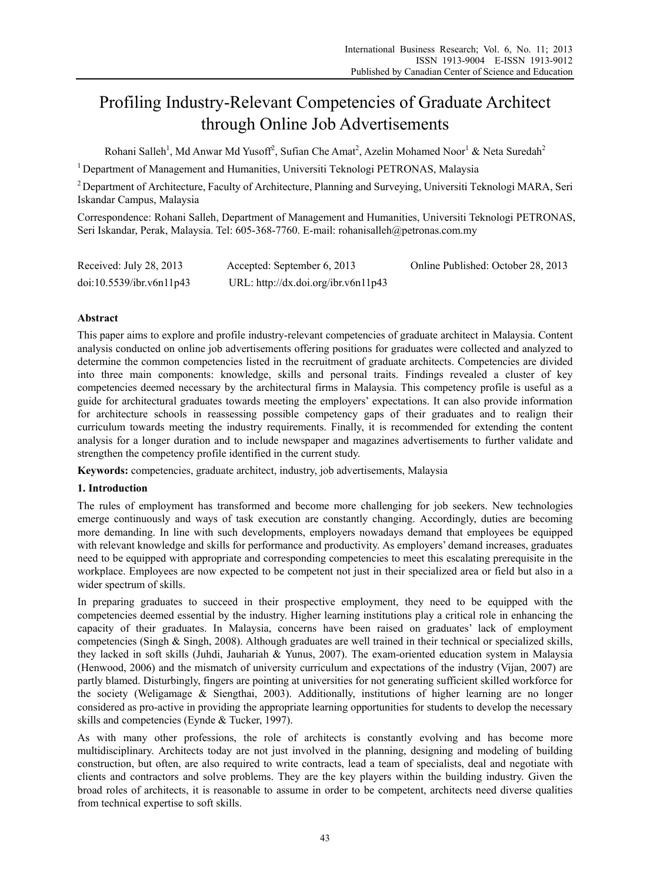# Profiling Industry-Relevant Competencies of Graduate Architect through Online Job Advertisements

Rohani Salleh<sup>1</sup>, Md Anwar Md Yusoff<sup>2</sup>, Sufian Che Amat<sup>2</sup>, Azelin Mohamed Noor<sup>1</sup> & Neta Suredah<sup>2</sup>

<sup>1</sup> Department of Management and Humanities, Universiti Teknologi PETRONAS, Malaysia

2 Department of Architecture, Faculty of Architecture, Planning and Surveying, Universiti Teknologi MARA, Seri Iskandar Campus, Malaysia

Correspondence: Rohani Salleh, Department of Management and Humanities, Universiti Teknologi PETRONAS, Seri Iskandar, Perak, Malaysia. Tel: 605-368-7760. E-mail: rohanisalleh@petronas.com.my

| Received: July 28, 2013  | Accepted: September 6, 2013         | Online Published: October 28, 2013 |
|--------------------------|-------------------------------------|------------------------------------|
| doi:10.5539/ibr.v6n11p43 | URL: http://dx.doi.org/ibr.v6n11p43 |                                    |

# **Abstract**

This paper aims to explore and profile industry-relevant competencies of graduate architect in Malaysia. Content analysis conducted on online job advertisements offering positions for graduates were collected and analyzed to determine the common competencies listed in the recruitment of graduate architects. Competencies are divided into three main components: knowledge, skills and personal traits. Findings revealed a cluster of key competencies deemed necessary by the architectural firms in Malaysia. This competency profile is useful as a guide for architectural graduates towards meeting the employers' expectations. It can also provide information for architecture schools in reassessing possible competency gaps of their graduates and to realign their curriculum towards meeting the industry requirements. Finally, it is recommended for extending the content analysis for a longer duration and to include newspaper and magazines advertisements to further validate and strengthen the competency profile identified in the current study.

**Keywords:** competencies, graduate architect, industry, job advertisements, Malaysia

## **1. Introduction**

The rules of employment has transformed and become more challenging for job seekers. New technologies emerge continuously and ways of task execution are constantly changing. Accordingly, duties are becoming more demanding. In line with such developments, employers nowadays demand that employees be equipped with relevant knowledge and skills for performance and productivity. As employers' demand increases, graduates need to be equipped with appropriate and corresponding competencies to meet this escalating prerequisite in the workplace. Employees are now expected to be competent not just in their specialized area or field but also in a wider spectrum of skills.

In preparing graduates to succeed in their prospective employment, they need to be equipped with the competencies deemed essential by the industry. Higher learning institutions play a critical role in enhancing the capacity of their graduates. In Malaysia, concerns have been raised on graduates' lack of employment competencies (Singh & Singh, 2008). Although graduates are well trained in their technical or specialized skills, they lacked in soft skills (Juhdi, Jauhariah & Yunus, 2007). The exam-oriented education system in Malaysia (Henwood, 2006) and the mismatch of university curriculum and expectations of the industry (Vijan, 2007) are partly blamed. Disturbingly, fingers are pointing at universities for not generating sufficient skilled workforce for the society (Weligamage & Siengthai, 2003). Additionally, institutions of higher learning are no longer considered as pro-active in providing the appropriate learning opportunities for students to develop the necessary skills and competencies (Eynde & Tucker, 1997).

As with many other professions, the role of architects is constantly evolving and has become more multidisciplinary. Architects today are not just involved in the planning, designing and modeling of building construction, but often, are also required to write contracts, lead a team of specialists, deal and negotiate with clients and contractors and solve problems. They are the key players within the building industry. Given the broad roles of architects, it is reasonable to assume in order to be competent, architects need diverse qualities from technical expertise to soft skills.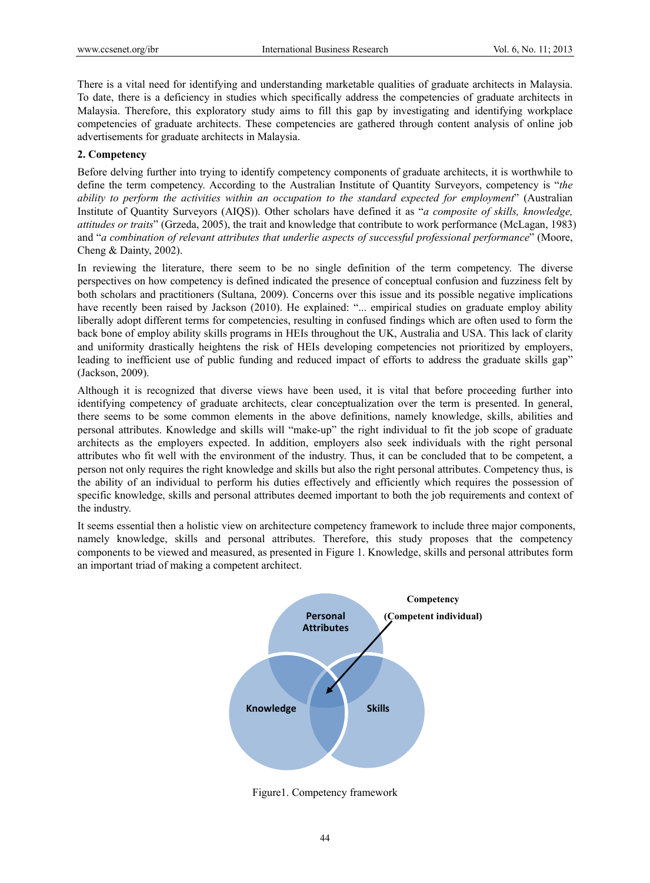There is a vital need for identifying and understanding marketable qualities of graduate architects in Malaysia. To date, there is a deficiency in studies which specifically address the competencies of graduate architects in Malaysia. Therefore, this exploratory study aims to fill this gap by investigating and identifying workplace competencies of graduate architects. These competencies are gathered through content analysis of online job advertisements for graduate architects in Malaysia.

# **2. Competency**

Before delving further into trying to identify competency components of graduate architects, it is worthwhile to define the term competency. According to the Australian Institute of Quantity Surveyors, competency is "*the ability to perform the activities within an occupation to the standard expected for employment*" (Australian Institute of Quantity Surveyors (AIQS)). Other scholars have defined it as "*a composite of skills, knowledge, attitudes or traits*" (Grzeda, 2005), the trait and knowledge that contribute to work performance (McLagan, 1983) and "*a combination of relevant attributes that underlie aspects of successful professional performance*" (Moore, Cheng & Dainty, 2002).

In reviewing the literature, there seem to be no single definition of the term competency. The diverse perspectives on how competency is defined indicated the presence of conceptual confusion and fuzziness felt by both scholars and practitioners (Sultana, 2009). Concerns over this issue and its possible negative implications have recently been raised by Jackson (2010). He explained: "... empirical studies on graduate employ ability liberally adopt different terms for competencies, resulting in confused findings which are often used to form the back bone of employ ability skills programs in HEIs throughout the UK, Australia and USA. This lack of clarity and uniformity drastically heightens the risk of HEIs developing competencies not prioritized by employers, leading to inefficient use of public funding and reduced impact of efforts to address the graduate skills gap" (Jackson, 2009).

Although it is recognized that diverse views have been used, it is vital that before proceeding further into identifying competency of graduate architects, clear conceptualization over the term is presented. In general, there seems to be some common elements in the above definitions, namely knowledge, skills, abilities and personal attributes. Knowledge and skills will "make-up" the right individual to fit the job scope of graduate architects as the employers expected. In addition, employers also seek individuals with the right personal attributes who fit well with the environment of the industry. Thus, it can be concluded that to be competent, a person not only requires the right knowledge and skills but also the right personal attributes. Competency thus, is the ability of an individual to perform his duties effectively and efficiently which requires the possession of specific knowledge, skills and personal attributes deemed important to both the job requirements and context of the industry.

It seems essential then a holistic view on architecture competency framework to include three major components, namely knowledge, skills and personal attributes. Therefore, this study proposes that the competency components to be viewed and measured, as presented in Figure 1. Knowledge, skills and personal attributes form an important triad of making a competent architect.



Figure1. Competency framework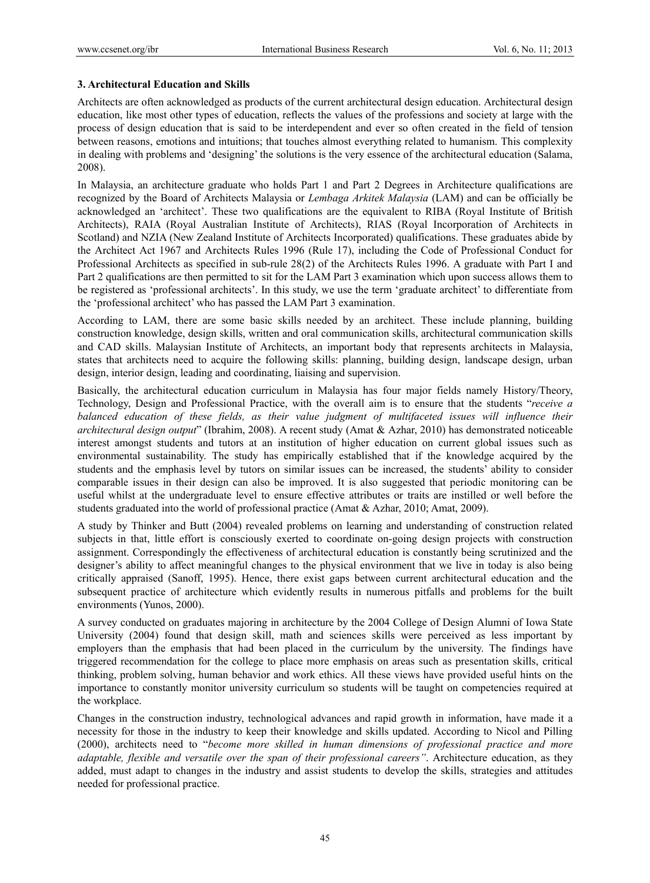# **3. Architectural Education and Skills**

Architects are often acknowledged as products of the current architectural design education. Architectural design education, like most other types of education, reflects the values of the professions and society at large with the process of design education that is said to be interdependent and ever so often created in the field of tension between reasons, emotions and intuitions; that touches almost everything related to humanism. This complexity in dealing with problems and 'designing' the solutions is the very essence of the architectural education (Salama, 2008).

In Malaysia, an architecture graduate who holds Part 1 and Part 2 Degrees in Architecture qualifications are recognized by the Board of Architects Malaysia or *Lembaga Arkitek Malaysia* (LAM) and can be officially be acknowledged an 'architect'. These two qualifications are the equivalent to RIBA (Royal Institute of British Architects), RAIA (Royal Australian Institute of Architects), RIAS (Royal Incorporation of Architects in Scotland) and NZIA (New Zealand Institute of Architects Incorporated) qualifications. These graduates abide by the Architect Act 1967 and Architects Rules 1996 (Rule 17), including the Code of Professional Conduct for Professional Architects as specified in sub-rule 28(2) of the Architects Rules 1996. A graduate with Part I and Part 2 qualifications are then permitted to sit for the LAM Part 3 examination which upon success allows them to be registered as 'professional architects'. In this study, we use the term 'graduate architect' to differentiate from the 'professional architect' who has passed the LAM Part 3 examination.

According to LAM, there are some basic skills needed by an architect. These include planning, building construction knowledge, design skills, written and oral communication skills, architectural communication skills and CAD skills. Malaysian Institute of Architects, an important body that represents architects in Malaysia, states that architects need to acquire the following skills: planning, building design, landscape design, urban design, interior design, leading and coordinating, liaising and supervision.

Basically, the architectural education curriculum in Malaysia has four major fields namely History/Theory, Technology, Design and Professional Practice, with the overall aim is to ensure that the students "*receive a balanced education of these fields, as their value judgment of multifaceted issues will influence their architectural design output*" (Ibrahim, 2008). A recent study (Amat & Azhar, 2010) has demonstrated noticeable interest amongst students and tutors at an institution of higher education on current global issues such as environmental sustainability. The study has empirically established that if the knowledge acquired by the students and the emphasis level by tutors on similar issues can be increased, the students' ability to consider comparable issues in their design can also be improved. It is also suggested that periodic monitoring can be useful whilst at the undergraduate level to ensure effective attributes or traits are instilled or well before the students graduated into the world of professional practice (Amat & Azhar, 2010; Amat, 2009).

A study by Thinker and Butt (2004) revealed problems on learning and understanding of construction related subjects in that, little effort is consciously exerted to coordinate on-going design projects with construction assignment. Correspondingly the effectiveness of architectural education is constantly being scrutinized and the designer's ability to affect meaningful changes to the physical environment that we live in today is also being critically appraised (Sanoff, 1995). Hence, there exist gaps between current architectural education and the subsequent practice of architecture which evidently results in numerous pitfalls and problems for the built environments (Yunos, 2000).

A survey conducted on graduates majoring in architecture by the 2004 College of Design Alumni of Iowa State University (2004) found that design skill, math and sciences skills were perceived as less important by employers than the emphasis that had been placed in the curriculum by the university. The findings have triggered recommendation for the college to place more emphasis on areas such as presentation skills, critical thinking, problem solving, human behavior and work ethics. All these views have provided useful hints on the importance to constantly monitor university curriculum so students will be taught on competencies required at the workplace.

Changes in the construction industry, technological advances and rapid growth in information, have made it a necessity for those in the industry to keep their knowledge and skills updated. According to Nicol and Pilling (2000), architects need to "*become more skilled in human dimensions of professional practice and more adaptable, flexible and versatile over the span of their professional careers"*. Architecture education, as they added, must adapt to changes in the industry and assist students to develop the skills, strategies and attitudes needed for professional practice.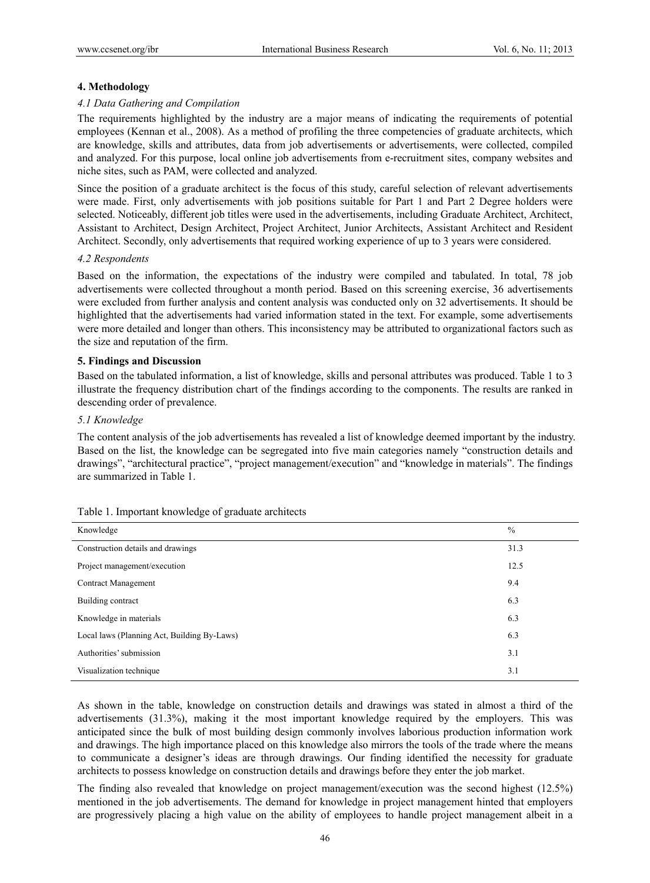# **4. Methodology**

# *4.1 Data Gathering and Compilation*

The requirements highlighted by the industry are a major means of indicating the requirements of potential employees (Kennan et al., 2008). As a method of profiling the three competencies of graduate architects, which are knowledge, skills and attributes, data from job advertisements or advertisements, were collected, compiled and analyzed. For this purpose, local online job advertisements from e-recruitment sites, company websites and niche sites, such as PAM, were collected and analyzed.

Since the position of a graduate architect is the focus of this study, careful selection of relevant advertisements were made. First, only advertisements with job positions suitable for Part 1 and Part 2 Degree holders were selected. Noticeably, different job titles were used in the advertisements, including Graduate Architect, Architect, Assistant to Architect, Design Architect, Project Architect, Junior Architects, Assistant Architect and Resident Architect. Secondly, only advertisements that required working experience of up to 3 years were considered.

## *4.2 Respondents*

Based on the information, the expectations of the industry were compiled and tabulated. In total, 78 job advertisements were collected throughout a month period. Based on this screening exercise, 36 advertisements were excluded from further analysis and content analysis was conducted only on 32 advertisements. It should be highlighted that the advertisements had varied information stated in the text. For example, some advertisements were more detailed and longer than others. This inconsistency may be attributed to organizational factors such as the size and reputation of the firm.

## **5. Findings and Discussion**

Based on the tabulated information, a list of knowledge, skills and personal attributes was produced. Table 1 to 3 illustrate the frequency distribution chart of the findings according to the components. The results are ranked in descending order of prevalence.

# *5.1 Knowledge*

The content analysis of the job advertisements has revealed a list of knowledge deemed important by the industry. Based on the list, the knowledge can be segregated into five main categories namely "construction details and drawings", "architectural practice", "project management/execution" and "knowledge in materials". The findings are summarized in Table 1.

| Knowledge                                   | $\%$ |
|---------------------------------------------|------|
| Construction details and drawings           | 31.3 |
| Project management/execution                | 12.5 |
| Contract Management                         | 9.4  |
| Building contract                           | 6.3  |
| Knowledge in materials                      | 6.3  |
| Local laws (Planning Act, Building By-Laws) | 6.3  |
| Authorities' submission                     | 3.1  |
| Visualization technique                     | 3.1  |

|  |  |  | Table 1. Important knowledge of graduate architects |
|--|--|--|-----------------------------------------------------|
|  |  |  |                                                     |

As shown in the table, knowledge on construction details and drawings was stated in almost a third of the advertisements (31.3%), making it the most important knowledge required by the employers. This was anticipated since the bulk of most building design commonly involves laborious production information work and drawings. The high importance placed on this knowledge also mirrors the tools of the trade where the means to communicate a designer's ideas are through drawings. Our finding identified the necessity for graduate architects to possess knowledge on construction details and drawings before they enter the job market.

The finding also revealed that knowledge on project management/execution was the second highest (12.5%) mentioned in the job advertisements. The demand for knowledge in project management hinted that employers are progressively placing a high value on the ability of employees to handle project management albeit in a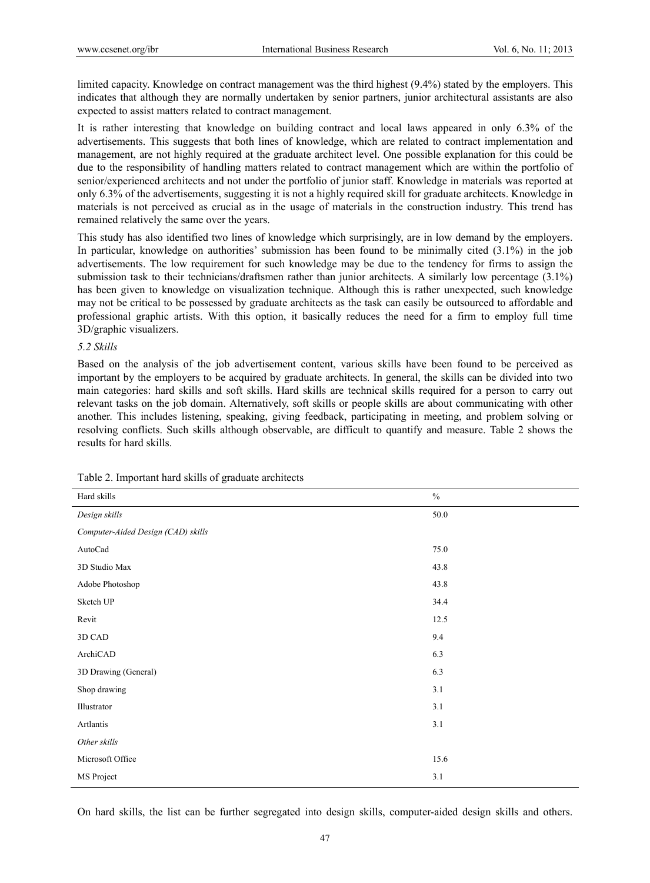limited capacity. Knowledge on contract management was the third highest (9.4%) stated by the employers. This indicates that although they are normally undertaken by senior partners, junior architectural assistants are also expected to assist matters related to contract management.

It is rather interesting that knowledge on building contract and local laws appeared in only 6.3% of the advertisements. This suggests that both lines of knowledge, which are related to contract implementation and management, are not highly required at the graduate architect level. One possible explanation for this could be due to the responsibility of handling matters related to contract management which are within the portfolio of senior/experienced architects and not under the portfolio of junior staff. Knowledge in materials was reported at only 6.3% of the advertisements, suggesting it is not a highly required skill for graduate architects. Knowledge in materials is not perceived as crucial as in the usage of materials in the construction industry. This trend has remained relatively the same over the years.

This study has also identified two lines of knowledge which surprisingly, are in low demand by the employers. In particular, knowledge on authorities' submission has been found to be minimally cited (3.1%) in the job advertisements. The low requirement for such knowledge may be due to the tendency for firms to assign the submission task to their technicians/draftsmen rather than junior architects. A similarly low percentage (3.1%) has been given to knowledge on visualization technique. Although this is rather unexpected, such knowledge may not be critical to be possessed by graduate architects as the task can easily be outsourced to affordable and professional graphic artists. With this option, it basically reduces the need for a firm to employ full time 3D/graphic visualizers.

# *5.2 Skills*

Based on the analysis of the job advertisement content, various skills have been found to be perceived as important by the employers to be acquired by graduate architects. In general, the skills can be divided into two main categories: hard skills and soft skills. Hard skills are technical skills required for a person to carry out relevant tasks on the job domain. Alternatively, soft skills or people skills are about communicating with other another. This includes listening, speaking, giving feedback, participating in meeting, and problem solving or resolving conflicts. Such skills although observable, are difficult to quantify and measure. Table 2 shows the results for hard skills.

| Hard skills                        | $\frac{0}{0}$ |
|------------------------------------|---------------|
| Design skills                      | $50.0\,$      |
| Computer-Aided Design (CAD) skills |               |
| AutoCad                            | 75.0          |
| 3D Studio Max                      | 43.8          |
| Adobe Photoshop                    | 43.8          |
| Sketch UP                          | 34.4          |
| Revit                              | 12.5          |
| $3\mathrm{D}\, \mathrm{CAD}$       | 9.4           |
| ArchiCAD                           | 6.3           |
| 3D Drawing (General)               | 6.3           |
| Shop drawing                       | 3.1           |
| Illustrator                        | 3.1           |
| Artlantis                          | 3.1           |
| Other skills                       |               |
| Microsoft Office                   | 15.6          |
| MS Project                         | 3.1           |

Table 2. Important hard skills of graduate architects

On hard skills, the list can be further segregated into design skills, computer-aided design skills and others.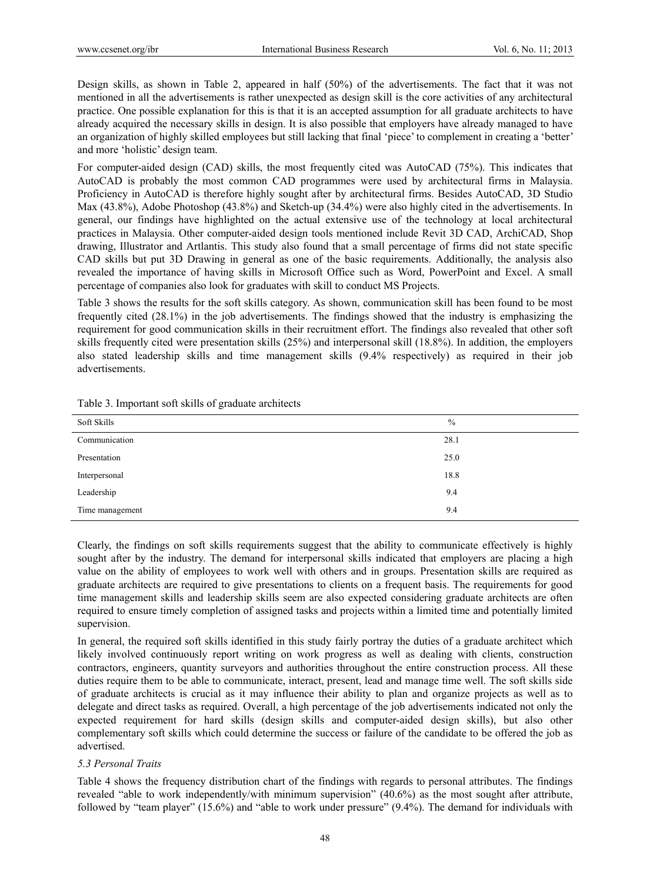Design skills, as shown in Table 2, appeared in half (50%) of the advertisements. The fact that it was not mentioned in all the advertisements is rather unexpected as design skill is the core activities of any architectural practice. One possible explanation for this is that it is an accepted assumption for all graduate architects to have already acquired the necessary skills in design. It is also possible that employers have already managed to have an organization of highly skilled employees but still lacking that final 'piece' to complement in creating a 'better' and more 'holistic' design team.

For computer-aided design (CAD) skills, the most frequently cited was AutoCAD (75%). This indicates that AutoCAD is probably the most common CAD programmes were used by architectural firms in Malaysia. Proficiency in AutoCAD is therefore highly sought after by architectural firms. Besides AutoCAD, 3D Studio Max (43.8%), Adobe Photoshop (43.8%) and Sketch-up (34.4%) were also highly cited in the advertisements. In general, our findings have highlighted on the actual extensive use of the technology at local architectural practices in Malaysia. Other computer-aided design tools mentioned include Revit 3D CAD, ArchiCAD, Shop drawing, Illustrator and Artlantis. This study also found that a small percentage of firms did not state specific CAD skills but put 3D Drawing in general as one of the basic requirements. Additionally, the analysis also revealed the importance of having skills in Microsoft Office such as Word, PowerPoint and Excel. A small percentage of companies also look for graduates with skill to conduct MS Projects.

Table 3 shows the results for the soft skills category. As shown, communication skill has been found to be most frequently cited (28.1%) in the job advertisements. The findings showed that the industry is emphasizing the requirement for good communication skills in their recruitment effort. The findings also revealed that other soft skills frequently cited were presentation skills (25%) and interpersonal skill (18.8%). In addition, the employers also stated leadership skills and time management skills (9.4% respectively) as required in their job advertisements.

| Soft Skills     | $\%$ |
|-----------------|------|
| Communication   | 28.1 |
| Presentation    | 25.0 |
| Interpersonal   | 18.8 |
| Leadership      | 9.4  |
| Time management | 9.4  |

Table 3. Important soft skills of graduate architects

Clearly, the findings on soft skills requirements suggest that the ability to communicate effectively is highly sought after by the industry. The demand for interpersonal skills indicated that employers are placing a high value on the ability of employees to work well with others and in groups. Presentation skills are required as graduate architects are required to give presentations to clients on a frequent basis. The requirements for good time management skills and leadership skills seem are also expected considering graduate architects are often required to ensure timely completion of assigned tasks and projects within a limited time and potentially limited supervision.

In general, the required soft skills identified in this study fairly portray the duties of a graduate architect which likely involved continuously report writing on work progress as well as dealing with clients, construction contractors, engineers, quantity surveyors and authorities throughout the entire construction process. All these duties require them to be able to communicate, interact, present, lead and manage time well. The soft skills side of graduate architects is crucial as it may influence their ability to plan and organize projects as well as to delegate and direct tasks as required. Overall, a high percentage of the job advertisements indicated not only the expected requirement for hard skills (design skills and computer-aided design skills), but also other complementary soft skills which could determine the success or failure of the candidate to be offered the job as advertised.

# *5.3 Personal Traits*

Table 4 shows the frequency distribution chart of the findings with regards to personal attributes. The findings revealed "able to work independently/with minimum supervision" (40.6%) as the most sought after attribute, followed by "team player" (15.6%) and "able to work under pressure" (9.4%). The demand for individuals with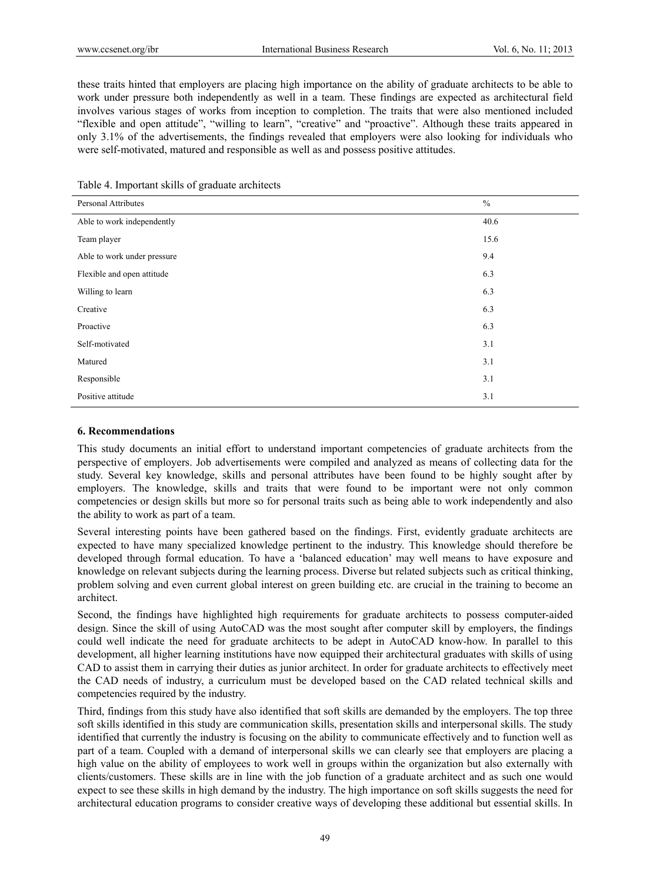these traits hinted that employers are placing high importance on the ability of graduate architects to be able to work under pressure both independently as well in a team. These findings are expected as architectural field involves various stages of works from inception to completion. The traits that were also mentioned included "flexible and open attitude", "willing to learn", "creative" and "proactive". Although these traits appeared in only 3.1% of the advertisements, the findings revealed that employers were also looking for individuals who were self-motivated, matured and responsible as well as and possess positive attitudes.

| Personal Attributes         | $\frac{0}{0}$ |
|-----------------------------|---------------|
| Able to work independently  | 40.6          |
| Team player                 | 15.6          |
| Able to work under pressure | 9.4           |
| Flexible and open attitude  | 6.3           |
| Willing to learn            | 6.3           |
| Creative                    | 6.3           |
| Proactive                   | 6.3           |
| Self-motivated              | 3.1           |
| Matured                     | 3.1           |
| Responsible                 | 3.1           |
| Positive attitude           | 3.1           |

| Table 4. Important skills of graduate architects |  |  |  |  |  |
|--------------------------------------------------|--|--|--|--|--|
|--------------------------------------------------|--|--|--|--|--|

#### **6. Recommendations**

This study documents an initial effort to understand important competencies of graduate architects from the perspective of employers. Job advertisements were compiled and analyzed as means of collecting data for the study. Several key knowledge, skills and personal attributes have been found to be highly sought after by employers. The knowledge, skills and traits that were found to be important were not only common competencies or design skills but more so for personal traits such as being able to work independently and also the ability to work as part of a team.

Several interesting points have been gathered based on the findings. First, evidently graduate architects are expected to have many specialized knowledge pertinent to the industry. This knowledge should therefore be developed through formal education. To have a 'balanced education' may well means to have exposure and knowledge on relevant subjects during the learning process. Diverse but related subjects such as critical thinking, problem solving and even current global interest on green building etc. are crucial in the training to become an architect.

Second, the findings have highlighted high requirements for graduate architects to possess computer-aided design. Since the skill of using AutoCAD was the most sought after computer skill by employers, the findings could well indicate the need for graduate architects to be adept in AutoCAD know-how. In parallel to this development, all higher learning institutions have now equipped their architectural graduates with skills of using CAD to assist them in carrying their duties as junior architect. In order for graduate architects to effectively meet the CAD needs of industry, a curriculum must be developed based on the CAD related technical skills and competencies required by the industry.

Third, findings from this study have also identified that soft skills are demanded by the employers. The top three soft skills identified in this study are communication skills, presentation skills and interpersonal skills. The study identified that currently the industry is focusing on the ability to communicate effectively and to function well as part of a team. Coupled with a demand of interpersonal skills we can clearly see that employers are placing a high value on the ability of employees to work well in groups within the organization but also externally with clients/customers. These skills are in line with the job function of a graduate architect and as such one would expect to see these skills in high demand by the industry. The high importance on soft skills suggests the need for architectural education programs to consider creative ways of developing these additional but essential skills. In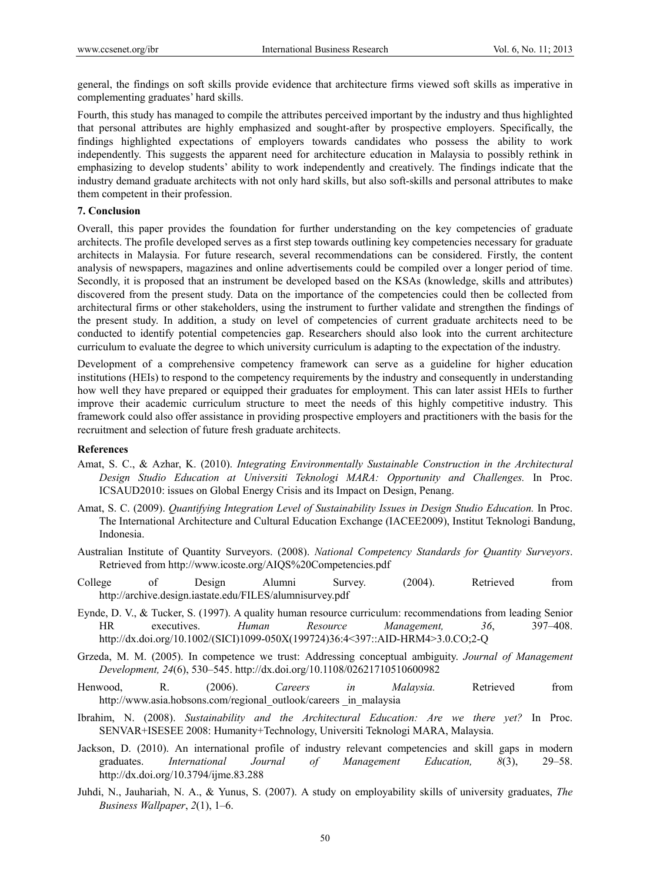general, the findings on soft skills provide evidence that architecture firms viewed soft skills as imperative in complementing graduates' hard skills.

Fourth, this study has managed to compile the attributes perceived important by the industry and thus highlighted that personal attributes are highly emphasized and sought-after by prospective employers. Specifically, the findings highlighted expectations of employers towards candidates who possess the ability to work independently. This suggests the apparent need for architecture education in Malaysia to possibly rethink in emphasizing to develop students' ability to work independently and creatively. The findings indicate that the industry demand graduate architects with not only hard skills, but also soft-skills and personal attributes to make them competent in their profession.

#### **7. Conclusion**

Overall, this paper provides the foundation for further understanding on the key competencies of graduate architects. The profile developed serves as a first step towards outlining key competencies necessary for graduate architects in Malaysia. For future research, several recommendations can be considered. Firstly, the content analysis of newspapers, magazines and online advertisements could be compiled over a longer period of time. Secondly, it is proposed that an instrument be developed based on the KSAs (knowledge, skills and attributes) discovered from the present study. Data on the importance of the competencies could then be collected from architectural firms or other stakeholders, using the instrument to further validate and strengthen the findings of the present study. In addition, a study on level of competencies of current graduate architects need to be conducted to identify potential competencies gap. Researchers should also look into the current architecture curriculum to evaluate the degree to which university curriculum is adapting to the expectation of the industry.

Development of a comprehensive competency framework can serve as a guideline for higher education institutions (HEIs) to respond to the competency requirements by the industry and consequently in understanding how well they have prepared or equipped their graduates for employment. This can later assist HEIs to further improve their academic curriculum structure to meet the needs of this highly competitive industry. This framework could also offer assistance in providing prospective employers and practitioners with the basis for the recruitment and selection of future fresh graduate architects.

#### **References**

- Amat, S. C., & Azhar, K. (2010). *Integrating Environmentally Sustainable Construction in the Architectural Design Studio Education at Universiti Teknologi MARA: Opportunity and Challenges.* In Proc. ICSAUD2010: issues on Global Energy Crisis and its Impact on Design, Penang.
- Amat, S. C. (2009). *Quantifying Integration Level of Sustainability Issues in Design Studio Education.* In Proc. The International Architecture and Cultural Education Exchange (IACEE2009), Institut Teknologi Bandung, Indonesia.

Australian Institute of Quantity Surveyors. (2008). *National Competency Standards for Quantity Surveyors*. Retrieved from http://www.icoste.org/AIQS%20Competencies.pdf

- College of Design Alumni Survey. (2004). Retrieved from http://archive.design.iastate.edu/FILES/alumnisurvey.pdf
- Eynde, D. V., & Tucker, S. (1997). A quality human resource curriculum: recommendations from leading Senior HR executives. *Human Resource Management, 36*, 397–408. http://dx.doi.org/10.1002/(SICI)1099-050X(199724)36:4<397::AID-HRM4>3.0.CO;2-Q
- Grzeda, M. M. (2005). In competence we trust: Addressing conceptual ambiguity. *Journal of Management Development, 24*(6), 530–545. http://dx.doi.org/10.1108/02621710510600982
- Henwood, R. (2006). *Careers in Malaysia.* Retrieved from http://www.asia.hobsons.com/regional\_outlook/careers \_in\_malaysia
- Ibrahim, N. (2008). *Sustainability and the Architectural Education: Are we there yet?* In Proc. SENVAR+ISESEE 2008: Humanity+Technology, Universiti Teknologi MARA, Malaysia.
- Jackson, D. (2010). An international profile of industry relevant competencies and skill gaps in modern graduates. *International Journal of Management Education, 8*(3), 29–58. http://dx.doi.org/10.3794/ijme.83.288
- Juhdi, N., Jauhariah, N. A., & Yunus, S. (2007). A study on employability skills of university graduates, *The Business Wallpaper*, *2*(1), 1–6.